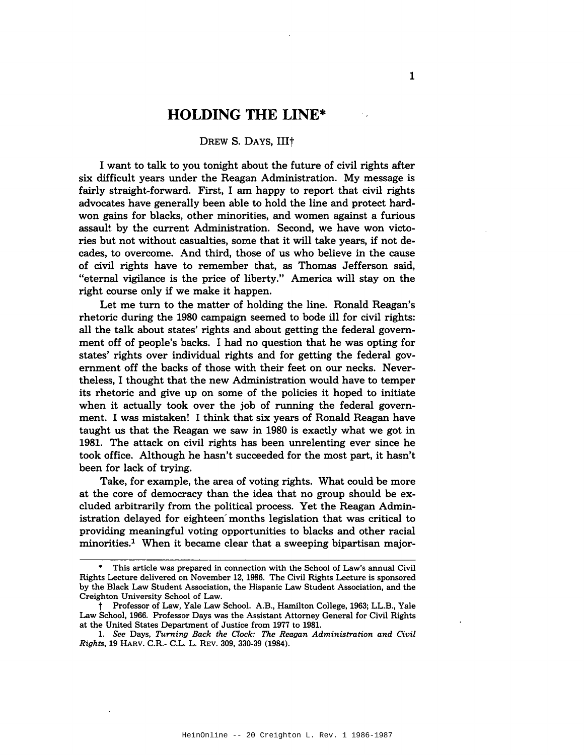## **HOLDING THE LINE\***

## DREW S. DAYS, III<sup>+</sup>

I want to talk to you tonight about the future of civil rights after six difficult years under the Reagan Administration. My message is fairly straight-forward. First, I am happy to report that civil rights advocates have generally been able to hold the line and protect hardwon gains for blacks, other minorities, and women against a furious assault by the current Administration. Second, we have won victories but not without casualties, some that it will take years, if not decades, to overcome. And third, those of us who believe in the cause of civil rights have to remember that, as Thomas Jefferson said, "eternal vigilance is the price of liberty." America will stay on the right course only if we make it happen.

Let me turn to the matter of holding the line. Ronald Reagan's rhetoric during the 1980 campaign seemed to bode ill for civil rights: all the talk about states' rights and about getting the federal government off of people's backs. I had no question that he was opting for states' rights over individual rights and for getting the federal government off the backs of those with their feet on our necks. Nevertheless, I thought that the new Administration would have to temper its rhetoric and give up on some of the policies it hoped to initiate when it actually took over the job of running the federal government. I was mistaken! I think that six years of Ronald Reagan have taught us that the Reagan we saw in 1980 is exactly what we got in 1981. The attack on civil rights has been unrelenting ever since he took office. Although he hasn't succeeded for the most part, it hasn't been for lack of trying.

Take, for example, the area of voting rights. What could be more at the core of democracy than the idea that no group should be excluded arbitrarily from the political process. Yet the Reagan Administration delayed for eighteen'months legislation that was critical to providing meaningful voting opportunities to blacks and other racial minorities.<sup>1</sup> When it became clear that a sweeping bipartisan major-

<sup>•</sup> This article was prepared in connection with the School of Law's annual Civil Rights Lecture delivered on November 12, 1986. The Civil Rights Lecture is sponsored by the Black Law Student Association, the Hispanic Law Student Association, and the Creighton University School of Law.

t Professor of Law, Yale Law School. A.B., Hamilton College, 1963; LL.B., Yale Law School, 1966. Professor Days was the Assistant Attorney General for Civil Rights at the United States Department of Justice from 1977 to 1981.

*<sup>1.</sup> See* Days, *Turning Back the Clock: The Reagan Administration and Civil Rights,* 19 HARv. C.R.- C.L. L. REV. 309, 330-39 (1984).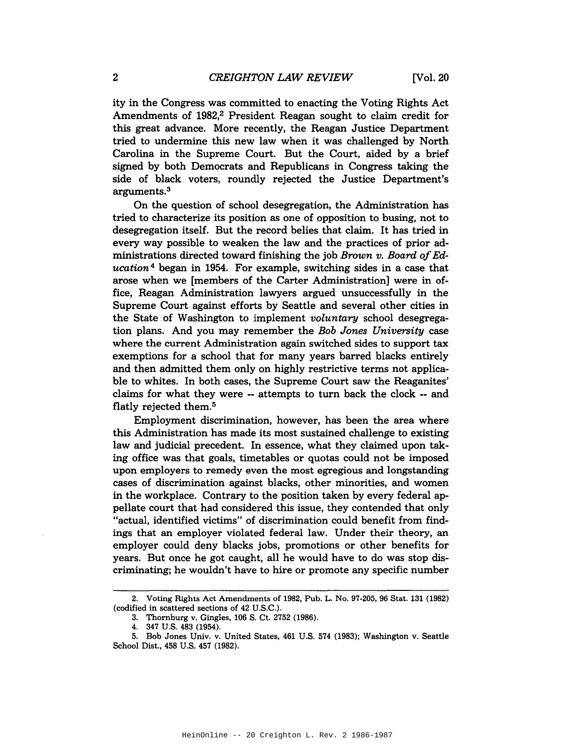ity in the Congress was committed to enacting the Voting Rights Act Amendments of 1982,<sup>2</sup> President Reagan sought to claim credit for this great advance. More recently, the Reagan Justice Department tried to undermine this new law when it was challenged by North Carolina in the Supreme Court. But the Court, aided by a brief signed by both Democrats and Republicans in Congress taking the side of black voters, roundly rejected the Justice Department's arguments.3

On the question of school desegregation, the Administration has tried to characterize its position as one of opposition to busing, not to desegregation itself. But the record belies that claim. It has tried in every way possible to weaken the law and the practices of prior administrations directed toward finishing the job *Brown v. Board of Education* <sup>4</sup> began in 1954. For example, switching sides in a case that arose when we [members of the Carter Administration] were in office, Reagan Administration lawyers argued unsuccessfully in the Supreme Court against efforts by Seattle and several other cities in the State of Washington to implement *voluntary* school desegregation plans. And you may remember the *Bob Jones University* case where the current Administration again switched sides to support tax exemptions for a school that for many years barred blacks entirely and then admitted them only on highly restrictive terms not applicable to whites. In both cases, the Supreme Court saw the Reaganites' claims for what they were -- attempts to turn back the clock -- and flatly rejected them.5

Employment discrimination, however, has been the area where this Administration has made its most sustained challenge to existing law and judicial precedent. In essence, what they claimed upon taking office was that goals, timetables or quotas could not be imposed upon employers to remedy even the most egregious and longstanding cases of discrimination against blacks, other minorities, and women in the workplace. Contrary to the position taken by every federal appellate court that had considered this issue, they contended that only "actual, identified victims" of discrimination could benefit from findings that an employer violated federal law. Under their theory, an employer could deny blacks jobs, promotions or other benefits for years. But once he got caught, all he would have to do was stop discriminating; he wouldn't have to hire or promote any specific number

<sup>2.</sup> Voting Rights Act Amendments of 1982, Pub. L. No. 97-205, 96 Stat. 131 (1982) (codified in scattered sections of 42 U.S.C.).

<sup>3.</sup> Thornburg v. Gingles, 106 S. Ct. 2752 (1986).

<sup>4.</sup> 347 U.S. 483 (1954).

<sup>5.</sup> Bob Jones Univ. v. United States, 461 U.S. 574 (1983); Washington v. Seattle School Dist., 458 U.S. 457 (1982).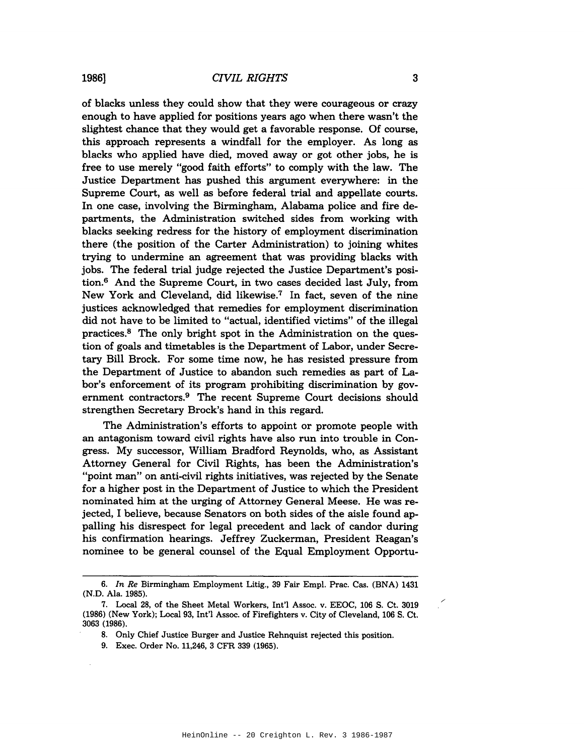1986] *CIVIL RIGHTS* 3

of blacks unless they could show that they were courageous or crazy enough to have applied for positions years ago when there wasn't the slightest chance that they would get a favorable response. Of course, this approach represents a windfall for the employer. As long as blacks who applied have died, moved away or got other jobs, he is free to use merely "good faith efforts" to comply with the law. The Justice Department has pushed this argument everywhere: in the Supreme Court, as well as before federal trial and appellate courts. In one case, involving the Birmingham, Alabama police and fire departments, the Administration switched sides from working with blacks seeking redress for the history of employment discrimination there (the position of the Carter Administration) to joining whites trying to undermine an agreement that was providing blacks with jobs. The federal trial judge rejected the Justice Department's position.6 And the Supreme Court, in two cases decided last July, from New York and Cleveland, did likewise.7 In fact, seven of the nine justices acknowledged that remedies for employment discrimination did not have to be limited to "actual, identified victims" of the illegal practices.<sup>8</sup> The only bright spot in the Administration on the question of goals and timetables is the Department of Labor, under Secretary Bill Brock. For some time now, he has resisted pressure from the Department of Justice to abandon such remedies as part of Labor's enforcement of its program prohibiting discrimination by government contractors.9 The recent Supreme Court decisions should strengthen Secretary Brock's hand in this regard.

The Administration's efforts to appoint or promote people with an antagonism toward civil rights have also run into trouble in Congress. My successor, William Bradford Reynolds, who, as Assistant Attorney General for Civil Rights, has been the Administration's "point man" on anti-civil rights initiatives, was rejected by the Senate for a higher post in the Department of Justice to which the President nominated him at the urging of Attorney General Meese. He was rejected, I believe, because Senators on both sides of the aisle found appalling his disrespect for legal precedent and lack of candor during his confirmation hearings. Jeffrey Zuckerman, President Reagan's nominee to be general counsel of the Equal Employment Opportu-

/'

*<sup>6.</sup> In Re* Birmingham Employment Litig., 39 Fair Empl. Prac. Cas. (BNA) 1431 (N.D. Ala. 1985).

<sup>7.</sup> Local 28, of the Sheet Metal Workers, Int'l Assoc. v. EEOC, 106 S. Ct. 3019 (1986) (New York); Local 93, Int'l Assoc. of Firefighters v. City of Cleveland, 106 S. Ct. 3063 (1986).

<sup>8.</sup> Only Chief Justice Burger and Justice Rehnquist rejected this position.

<sup>9.</sup> Exec. Order No. 11,246, 3 CFR 339 (1965).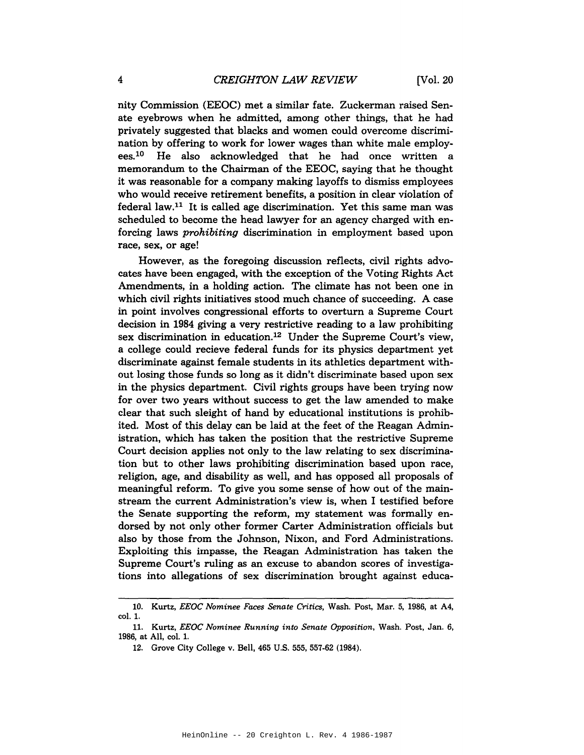nity Commission (EEOC) met a similar fate. Zuckerman raised Senate eyebrows when he admitted, among other things, that he had privately suggested that blacks and women could overcome discrimination by offering to work for lower wages than white male employees.<sup>10</sup> He also acknowledged that he had once written a memorandum to the Chairman of the EEOC, saying that he thought it was reasonable for a company making layoffs to dismiss employees who would receive retirement benefits, a position in clear violation of federal law. $11$  It is called age discrimination. Yet this same man was scheduled to become the head lawyer for an agency charged with enforcing laws *prohibiting* discrimination in employment based upon race, sex, or age!

However, as the foregoing discussion reflects, civil rights advocates have been engaged, with the exception of the Voting Rights Act Amendments, in a holding action. The climate has not been one in which civil rights initiatives stood much chance of succeeding. A case in point involves congressional efforts to overturn a Supreme Court decision in 1984 giving a very restrictive reading to a law prohibiting sex discrimination in education.12 Under the Supreme Court's view, a college could recieve federal funds for its physics department yet discriminate against female students in its athletics department without losing those funds so long as it didn't discriminate based upon sex in the physics department. Civil rights groups have been trying now for over two years without success to get the law amended to make clear that such sleight of hand by educational institutions is prohibited. Most of this delay can be laid at the feet of the Reagan Administration, which has taken the position that the restrictive Supreme Court decision applies not only to the law relating to sex discrimination but to other laws prohibiting discrimination based upon race, religion, age, and disability as well, and has opposed all proposals of meaningful reform. To give you some sense of how out of the mainstream the current Administration's view is, when I testified before the Senate supporting the reform, my statement was formally endorsed by not only other former Carter Administration officials but also by those from the Johnson, Nixon, and Ford Administrations. Exploiting this impasse, the Reagan Administration has taken the Supreme Court's ruling as an excuse to abandon scores of investigations into allegations of sex discrimination brought against educa-

<sup>10.</sup> Kurtz, *EEOC Nominee Faces Senate Critics,* Wash. Post, Mar. 5, 1986, at A4, col. 1.

<sup>11.</sup> Kurtz, *EEOC Nominee Running into Senate Opposition,* Wash. Post, Jan. 6, 1986, at All, col. 1.

<sup>12.</sup> Grove City College v. Bell, 465 U.S. 555, 557-62 (1984).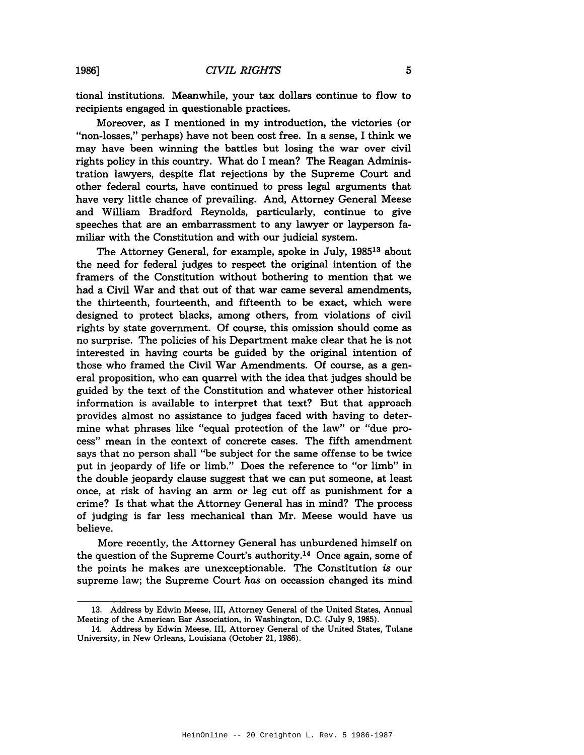tional institutions. Meanwhile, your tax dollars continue to flow to recipients engaged in questionable practices.

Moreover, as I mentioned in my introduction, the victories (or "non-losses," perhaps) have not been cost free. In a sense, I think we may have been winning the battles but losing the war over civil rights policy in this country. What do I mean? The Reagan Administration lawyers, despite flat rejections by the Supreme Court and other federal courts, have continued to press legal arguments that have very little chance of prevailing. And, Attorney General Meese and William Bradford Reynolds, particularly, continue to give speeches that are an embarrassment to any lawyer or layperson familiar with the Constitution and with our judicial system.

The Attorney General, for example, spoke in July, 198513 about the need for federal judges to respect the original intention of the framers of the Constitution without bothering to mention that we had a Civil War and that out of that war came several amendments, the thirteenth, fourteenth, and fifteenth to be exact, which were designed to protect blacks, among others, from violations of civil rights by state government. Of course, this omission should come as no surprise. The policies of his Department make clear that he is not interested in having courts be guided by the original intention of those who framed the Civil War Amendments. Of course, as a general proposition, who can quarrel with the idea that judges should be guided by the text of the Constitution and whatever other historical information is available to interpret that text? But that approach provides almost no assistance to judges faced with having to determine what phrases like "equal protection of the law" or "due process" mean in the context of concrete cases. The fifth amendment says that no person shall "be subject for the same offense to be twice put in jeopardy of life or limb." Does the reference to "or limb" in the double jeopardy clause suggest that we can put someone, at least once, at risk of having an arm or leg cut off as punishment for a crime? Is that what the Attorney General has in mind? The process of judging is far less mechanical than Mr. Meese would have us believe.

More recently, the Attorney General has unburdened himself on the question of the Supreme Court's authority.<sup>14</sup> Once again, some of the points he makes are unexceptionable. The Constitution is our supreme law; the Supreme Court *has* on occassion changed its mind

<sup>13.</sup> Address by Edwin Meese, III, Attorney General of the United States, Annual Meeting of the American Bar Association, in Washington, D.C. (July 9, 1985).

<sup>14.</sup> Address by Edwin Meese, III, Attorney General of the United States, Tulane University, in New Orleans, Louisiana (October 21, 1986).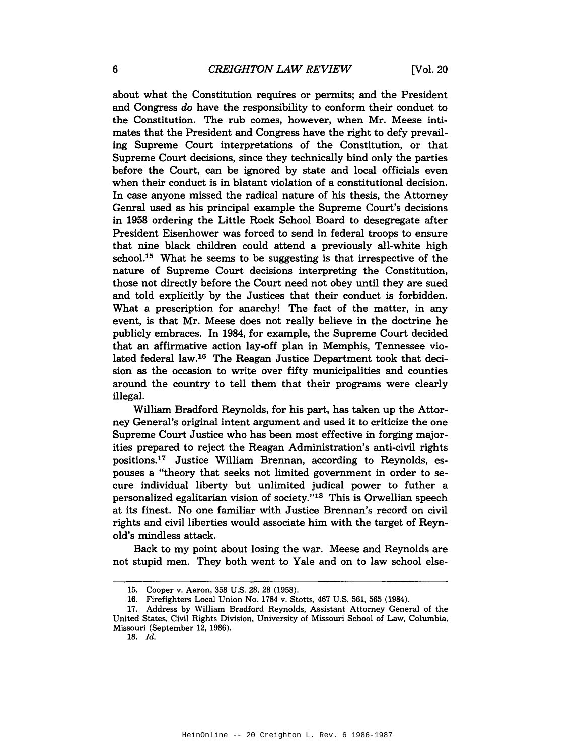about what the Constitution requires or permits; and the President and Congress *do* have the responsibility to conform their conduct to the Constitution. The rub comes, however, when Mr. Meese intimates that the President and Congress have the right to defy prevailing Supreme Court interpretations of the Constitution, or that Supreme Court decisions, since they technically bind only the parties before the Court, can be ignored by state and local officials even when their conduct is in blatant violation of a constitutional decision. In case anyone missed the radical nature of his thesis, the Attorney Genral used as his principal example the Supreme Court's decisions in 1958 ordering the Little Rock School Board to desegregate after President Eisenhower was forced to send in federal troops to ensure that nine black children could attend a previously all-white high school.<sup>15</sup> What he seems to be suggesting is that irrespective of the nature of Supreme Court decisions interpreting the Constitution, those not directly before the Court need not obey until they are sued and told explicitly by the Justices that their conduct is forbidden. What a prescription for anarchy! The fact of the matter, in any event, is that Mr. Meese does not really believe in the doctrine he publicly embraces. In 1984, for example, the Supreme Court decided that an affirmative action lay-off plan in Memphis, Tennessee violated federal law.<sup>16</sup> The Reagan Justice Department took that decision as the occasion to write over fifty municipalities and counties around the country to tell them that their programs were clearly illegal.

William Bradford Reynolds, for his part, has taken up the Attorney General's original intent argument and used it to criticize the one Supreme Court Justice who has been most effective in forging majorities prepared to reject the Reagan Administration's anti-civil rights positions.<sup>17</sup> Justice William Brennan, according to Reynolds, espouses a "theory that seeks not limited government in order to secure individual liberty but unlimited judical power to futher a personalized egalitarian vision of society."<sup>18</sup> This is Orwellian speech at its finest. No one familiar with Justice Brennan's record on civil rights and civil liberties would associate him with the target of Reynold's mindless attack.

Back to my point about losing the war. Meese and Reynolds are not stupid men. They both went to Yale and on to law school else-

<sup>15.</sup> Cooper v. Aaron, 358 U.S. 28, 28 (1958).

<sup>16.</sup> Firefighters Local Union No. 1784 v. Stotts, 467 U.S. 561, 565 (1984).

<sup>17.</sup> Address by William Bradford Reynolds, Assistant Attorney General of the United States, Civil Rights Division, University of Missouri School of Law, Columbia. Missouri (September 12, 1986).

*<sup>18.</sup> Id.*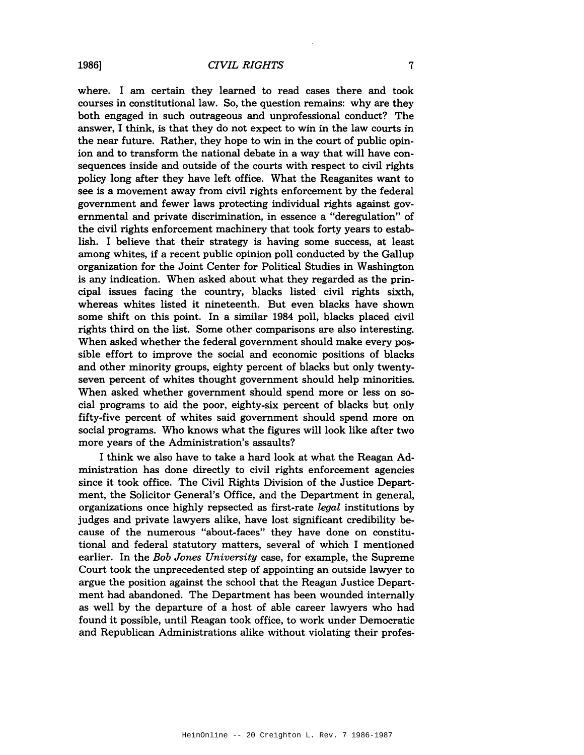where. I am certain they learned to read cases there and took courses in constitutional law. So, the question remains: why are they both engaged in such outrageous and unprofessional conduct? The answer, I think, is that they do not expect to win in the law courts in the near future. Rather, they hope to win in the court of public opinion and to transform the national debate in a way that will have consequences inside and outside of the courts with respect to civil rights policy long after they have left office. What the Reaganites want to see is a movement away from civil rights enforcement by the federal government and fewer laws protecting individual rights against governmental and private discrimination, in essence a "deregulation" of the civil rights enforcement machinery that took forty years to establish. I believe that their strategy is having some success, at least among whites, if a recent public opinion poll conducted by the Gallup organization for the Joint Center for Political Studies in Washington is any indication. When asked about what they regarded as the principal issues facing the country, blacks listed civil rights sixth, whereas whites listed it nineteenth. But even blacks have shown some shift on this point. In a similar 1984 poll, blacks placed civil rights third on the list. Some other comparisons are also interesting. When asked whether the federal government should make every possible effort to improve the social and economic positions of blacks and other minority groups, eighty percent of blacks but only twentyseven percent of whites thought government should help minorities. When asked whether government should spend more or less on social programs to aid the poor, eighty-six percent of blacks but only fifty-five percent of whites said government should spend more on social programs. Who knows what the figures will look like after two more years of the Administration's assaults?

I think we also have to take a hard look at what the Reagan Administration has done directly to civil rights enforcement agencies since it took office. The Civil Rights Division of the Justice Department, the Solicitor General's Office, and the Department in general, organizations once highly repsected as first-rate *legal* institutions by judges and private lawyers alike, have lost significant credibility because of the numerous "about-faces" they have done on constitutional and federal statutory matters, several of which I mentioned earlier. In the *Bob Jones University* case, for example, the Supreme Court took the unprecedented step of appointing an outside lawyer to argue the position against the school that the Reagan Justice Department had abandoned. The Department has been wounded internally as well by the departure of a host of able career lawyers who had found it possible, until Reagan took office, to work under Democratic and Republican Administrations alike without violating their profes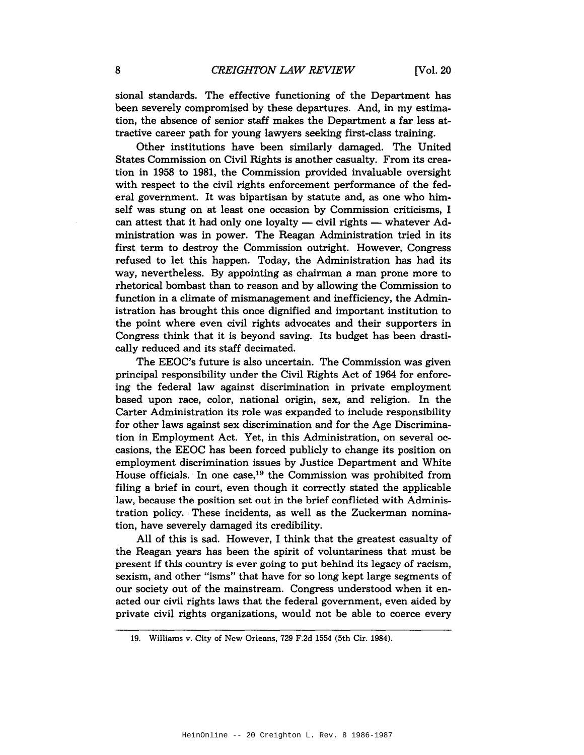sional standards. The effective functioning of the Department has been severely compromised by these departures. And, in my estimation, the absence of senior staff makes the Department a far less attractive career path for young lawyers seeking first-class training.

Other institutions have been similarly damaged. The United States Commission on Civil Rights is another casualty. From its creation in 1958 to 1981, the Commission provided invaluable oversight with respect to the civil rights enforcement performance of the federal government. It was bipartisan by statute and, as one who himself was stung on at least one occasion by Commission criticisms, I can attest that it had only one loyalty  $-$  civil rights  $-$  whatever Administration was in power. The Reagan Administration tried in its first term to destroy the Commission outright. However, Congress refused to let this happen. Today, the Administration has had its way, nevertheless. By appointing as chairman a man prone more to rhetorical bombast than to reason and by allowing the Commission to function in a climate of mismanagement and inefficiency, the Administration has brought this once dignified and important institution to the point where even civil rights advocates and their supporters in Congress think that it is beyond saving. Its budget has been drastically reduced and its staff decimated.

The EEOC's future is also uncertain. The Commission was given principal responsibility under the Civil Rights Act of 1964 for enforcing the federal law against discrimination in private employment based upon race, color, national origin, sex, and religion. In the Carter Administration its role was expanded to include responsibility for other laws against sex discrimination and for the Age Discrimination in Employment Act. Yet, in this Administration, on several occasions, the EEOC has been forced publicly to change its position on employment discrimination issues by Justice Department and White House officials. In one case,<sup>19</sup> the Commission was prohibited from filing a brief in court, even though it correctly stated the applicable law, because the position set out in the brief conflicted with Administration policy.. These incidents, as well as the Zuckerman nomination, have severely damaged its credibility.

All of this is sad. However, I think that the greatest casualty of the Reagan years has been the spirit of voluntariness that must be present if this country is ever going to put behind its legacy of racism, sexism, and other "isms" that have for so long kept large segments of our society out of the mainstream. Congress understood when it enacted our civil rights laws that the federal government, even aided by private civil rights organizations, would not be able to coerce every

<sup>19.</sup> Williams v. City of New Orleans, 729 F.2d 1554 (5th Cir. 1984).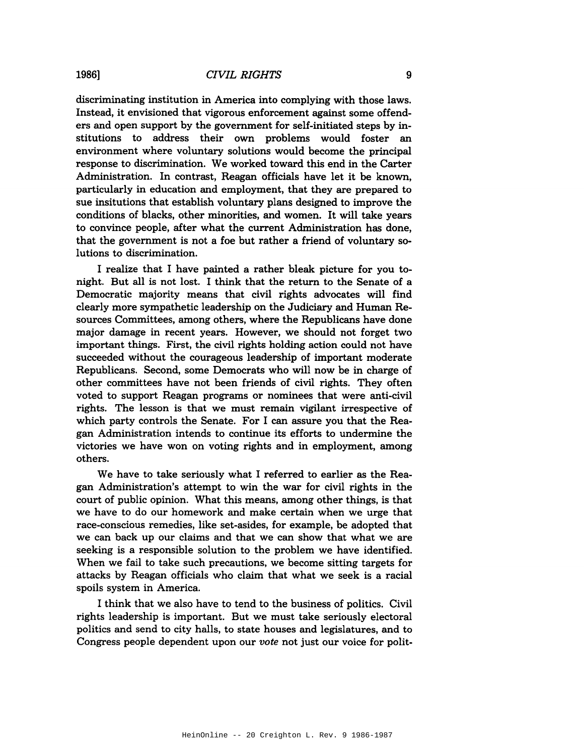discriminating institution in America into complying with those laws. Instead, it envisioned that vigorous enforcement against some offenders and open support by the government for self-initiated steps by institutions to address their own problems would foster an environment where voluntary solutions would become the principal response to discrimination. We worked toward this end in the Carter Administration. In contrast, Reagan officials have let it be known, particularly in education and employment, that they are prepared to sue insitutions that establish voluntary plans designed to improve the conditions of blacks, other minorities, and women. It will take years to convince people, after what the current Administration has done, that the government is not a foe but rather a friend of voluntary solutions to discrimination.

I realize that I have painted a rather bleak picture for you tonight. But all is not lost. I think that the return to the Senate of a Democratic majority means that civil rights advocates will find clearly more sympathetic leadership on the Judiciary and Human Resources Committees, among others, where the Republicans have done major damage in recent years. However, we should not forget two important things. First, the civil rights holding action could not have succeeded without the courageous leadership of important moderate Republicans. Second, some Democrats who will now be in charge of other committees have not been friends of civil rights. They often voted to support Reagan programs or nominees that were anti-civil rights. The lesson is that we must remain vigilant irrespective of which party controls the Senate. For I can assure you that the Reagan Administration intends to continue its efforts to undermine the victories we have won on voting rights and in employment, among others.

We have to take seriously what I referred to earlier as the Reagan Administration's attempt to win the war for civil rights in the court of public opinion. What this means, among other things, is that we have to do our homework and make certain when we urge that race-conscious remedies, like set-asides, for example, be adopted that we can back up our claims and that we can show that what we are seeking is a responsible solution to the problem we have identified. When we fail to take such precautions, we become sitting targets for attacks by Reagan officials who claim that what we seek is a racial spoils system in America.

I think that we also have to tend to the business of politics. Civil rights leadership is important. But we must take seriously electoral politics and send to city halls, to state houses and legislatures, and to Congress people dependent upon our *vote* not just our voice for polit